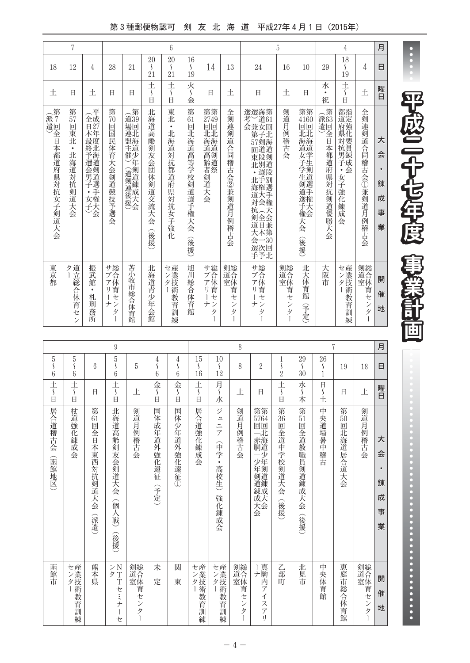第3種郵便物認可 剣 友 北 海 道 平成27年4月1日 (2015年)

|                             | 7                                             |                                                                             |                                      |                                                        |                                                  | 6                                          |                                            |                                                    |                                  |                                                                                                                                                     | 5                                    |                                                                                |                                        | 4                                                                                 |                                            | 月                                       |
|-----------------------------|-----------------------------------------------|-----------------------------------------------------------------------------|--------------------------------------|--------------------------------------------------------|--------------------------------------------------|--------------------------------------------|--------------------------------------------|----------------------------------------------------|----------------------------------|-----------------------------------------------------------------------------------------------------------------------------------------------------|--------------------------------------|--------------------------------------------------------------------------------|----------------------------------------|-----------------------------------------------------------------------------------|--------------------------------------------|-----------------------------------------|
| 18                          | 12                                            | 4                                                                           | 28                                   | 21                                                     | 20<br>S<br>21                                    | 20<br>S<br>21                              | 16<br>$\mathcal{L}_{\mathcal{L}}$<br>19    | 14                                                 | 13                               | 24                                                                                                                                                  | 16                                   | 10                                                                             | 29                                     | 18<br>S<br>19                                                                     | 4                                          | 日                                       |
| 土                           | E                                             | 土                                                                           | Ħ                                    | Ħ                                                      | 土<br>$\mathcal{S}_{\mathcal{S}}$<br>H            | 土<br>$\mathcal{S}_{\mathcal{S}}$<br>$\Box$ | 火<br>$\mathcal{S}_{\mathcal{S}}$<br>金      | Ħ                                                  | 土                                | 日                                                                                                                                                   | 土                                    | Ħ                                                                              | 水<br>$\bullet$<br>祝                    | 土<br>$\mathcal{S}_{\mathcal{S}}$<br>$\overline{H}$                                | 土                                          | 曜日                                      |
| (派<br>遣回<br>全日本都道府県対抗女子剣道大会 | 第<br>57<br>靣<br> 東北<br>$\bullet$<br>北海道対抗剣道大会 | 全<br>全成<br>$\overline{1}\overline{2}$<br>本年<br>最度<br>終北<br>☆予選会男子・↓<br>女権大会 | 第<br>70<br>回<br>国<br>民体育大会剣道競技予選会    | 第<br>道39<br>場回<br>連北<br>盟海<br>主道<br>催少<br>军<br>(道剣連後援) | 北<br>海道高齢<br>剣<br>友会団<br>体<br>剣道交流大<br>슺<br>(後援) | 東北<br>$\bullet$<br>北海道対抗都道府県対抗<br>女子強化     | 第<br>61<br>回<br>北海道高等学校剣道選手権<br>天会<br>(後援) | 第第<br>2749<br>回回<br>北北<br>海海道<br>1高齢者:<br>剑道大<br>会 | 全剣連:<br>剣道合同稽古会②兼剣道月例稽古会         | 選選海第<br>4考会<br>考古<br>会<br>余子<br>57剣海<br>回道道<br>東段剣<br>北別道<br>·選段<br>北手別<br>海権選<br>道大手<br>対会権<br>抗人大<br><b>《全会兼第</b><br>道日本第<br>〈会一30<br>会一30<br>手予北 | 剣道月例稽古<br>会                          | 第第<br>4160<br>回回<br><b>工北海道</b><br>海道道<br>4女子学生剣道#<br>)選手権<br>手権<br>大会<br>(後援) | (派品)<br>通道<br>全日本都道府<br>"県対抗<br>剣道優勝大会 | 都指<br>道定<br>府強<br><b>県対抗</b><br><b>.</b><br>男錬<br>子成<br>会<br>$\bullet$<br>女子強化錬成会 | 全剣連剣道合同稽古会①兼剣道月例稽古会                        | 大<br>会<br>$\bullet$<br>錬<br>成<br>事<br>業 |
| 東京都                         | 道立<br>タ<br>総合体育セン                             | 振武<br>館<br>$\bullet$<br>札<br>荊<br>一務所                                       | サ総<br>ブ合<br>ア体<br>リ育<br>ゼ<br>ナン<br>タ | 苫小<br>牧<br>市総合体<br>育館                                  | 北海道青少<br>年<br>会館                                 | セ産<br>こンター<br>教育訓練                         | 旭<br>Л<br>総合体育館                            | サブアリ<br>ゼ<br>ナン<br>タ                               | 剣道合体育<br>セ<br>$\mathcal{V}$<br>タ | サ総<br>、アリーセ<br>ナン<br>Þ                                                                                                                              | 剣総<br>室体育<br>ゼ<br>$\mathcal{V}$<br>タ | 北大体育館<br>予定                                                                    | 大阪市                                    | セン業技術<br>教育訓練                                                                     | 剣総合<br>道<br>室体<br>育セ<br>$\mathcal{V}$<br>タ | 開<br>催<br>地                             |

|                                       |                                       |                                     | 9                                                  |                       |                                       |                                       |                                         |                                               | 8                                                                                                                 |                                                                                          |                                         |                                                      |                           | 7                    |           | 月                                       |
|---------------------------------------|---------------------------------------|-------------------------------------|----------------------------------------------------|-----------------------|---------------------------------------|---------------------------------------|-----------------------------------------|-----------------------------------------------|-------------------------------------------------------------------------------------------------------------------|------------------------------------------------------------------------------------------|-----------------------------------------|------------------------------------------------------|---------------------------|----------------------|-----------|-----------------------------------------|
| 5<br>$\mathcal{S}_{\mathcal{S}}$<br>6 | 5<br>$\mathcal{L}_{\mathcal{L}}$<br>6 | 6                                   | $\overline{5}$<br>$\mathcal{S}_{\mathcal{S}}$<br>6 | 5                     | $\frac{4}{\varsigma}$<br>6            | 4<br>S<br>6                           | 15<br>$\mathcal{S}_{\mathcal{S}}$<br>16 | 10<br>$\mathcal{S}_{\mathcal{S}}$<br>12       | 8                                                                                                                 | $\overline{2}$                                                                           | $\frac{1}{\varsigma}$<br>$\overline{2}$ | 29<br>$\mathcal{S}_{\mathcal{S}}$<br>$\overline{30}$ | 26<br>S<br>$\overline{1}$ | 19                   | 18        | 日                                       |
| $rac{+}{\sqrt{2}}$<br>$\Box$          | 土<br>$\mathcal{S}_{\mathcal{S}}$<br>E | Ħ                                   | 土<br>$\mathcal{S}_{\mathcal{S}}$<br>$\overline{H}$ | 土                     | 金<br>$\mathcal{S}_{\mathcal{S}}$<br>日 | 金<br>$\mathcal{S}_{\mathcal{S}}$<br>Ħ | $rac{+}{5}$<br>$\Box$                   | 月〜<br>水                                       | 土                                                                                                                 | 日                                                                                        | 土<br>$\mathcal{S}_{\mathcal{S}}$<br>E   | 水<br>$\mathcal{S}_{\mathcal{S}}$<br>木                | $\Box$<br>S<br>İ.         | 日                    | 土         | 曜日                                      |
| 居合道稽古会(函館地区)                          | 杖道強化錬成<br>会                           | 第<br>61<br>回<br>全日本東西対抗剣道大会<br>(派遣) | 北海道高齢剣友会剣道大会<br>(個人戦)<br>(後援)                      | 剣道月例稽古会               | 国体成年道外強化遠征<br>(予定)                    | 国体少年道外強化遠<br>征<br>$\overline{1}$      | 居合道強化錬成会                                | ジ<br>ュニア<br>(中学<br>$\bullet$<br>高校生)<br>強化錬成会 | 剣道月例稽古会                                                                                                           | 第第<br>5764<br>回「赤胴」少年剣道錬成大会回北海道少年剣道錬成大会                                                  | 第<br>36<br>回全道中学校剣道大会<br>食援             | 第51回全道教職員剣道錬成大会<br>(後援)                              | 中央道場暑中稽古                  | 第<br>50<br>回北海道居合道大会 | 剣道月例稽古会   | 大<br>슾<br>$\bullet$<br>錬<br>成<br>事<br>業 |
| 函館市                                   | センター<br>産業技術教育訓練                      | 熊本県                                 | ンN<br>タT<br>Tセミナ<br>Ì<br>セ                         | 剣総合<br>室体育<br>セ<br>ンタ | 未<br>定                                | 関<br>東                                | センター<br>産業技術教育訓練                        | センター<br>産業技術教育訓練                              | 剣道室<br><br><br><br><br><br><br><br><br><br><br><br><br><br><br><br><br><br><br><br><br><br><br>$\mathcal{V}$<br>タ | Ⅰ真<br>ナ駒<br>芮<br>$\overline{f}$<br>$\overline{\mathcal{A}}$<br>ス<br>$\overline{f}$<br>I) | 乙部<br>町                                 | 北見市                                                  | 中<br>央体育館                 | 恵庭市総合体育館             | 剣道室<br>ンタ | 開<br>催<br>地                             |

Ē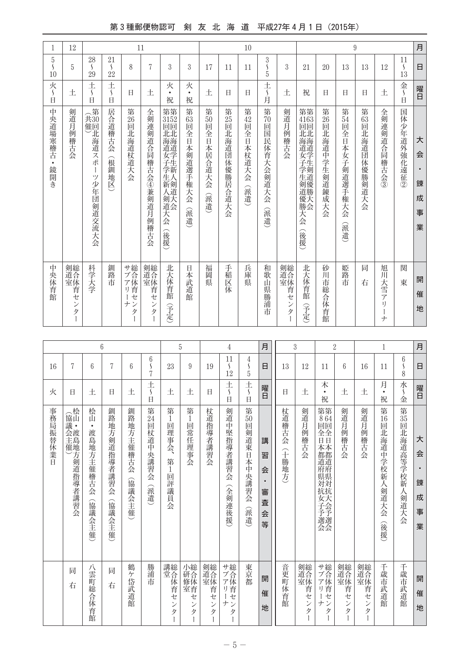## 第3種郵便物認可 剣 友 北 海 道 平成27年4月1日 (2015年)

| 1                                     | 12                                |                                              |                                                           |                          | 11                                |                                                                        |                                    |                                  |                  | 10                              |                                              |                                                                                           |                                                             |                          |                                              | 9                           |                      |                                                    | 月                          |
|---------------------------------------|-----------------------------------|----------------------------------------------|-----------------------------------------------------------|--------------------------|-----------------------------------|------------------------------------------------------------------------|------------------------------------|----------------------------------|------------------|---------------------------------|----------------------------------------------|-------------------------------------------------------------------------------------------|-------------------------------------------------------------|--------------------------|----------------------------------------------|-----------------------------|----------------------|----------------------------------------------------|----------------------------|
| 5<br>$\overline{\mathsf{S}}$<br>10    | 5                                 | 28<br>$\mathcal{L}_{\mathcal{L}}$<br>29      | 21<br>$\mathcal{L}_{\mathcal{L}}$<br>22                   | 8                        | 7                                 | 3                                                                      | 3                                  | 17                               | 11               | 11                              | 3<br>$\frac{5}{5}$                           | 3                                                                                         | 21                                                          | 20                       | 13                                           | 13                          | 12                   | 11<br>$\mathcal{S}_{\mathcal{S}}$<br>13            | 日                          |
| 火<br>$\mathcal{L}_{\mathcal{L}}$<br>Ħ | 土                                 | 土<br>$\mathcal{S}_{\mathcal{S}}$<br>$\Box$   | 土<br>$\boldsymbol{\mathsf{\mathsf{S}}}$<br>$\overline{H}$ | Ħ                        | 土                                 | 火<br>$\bullet$<br>祝                                                    | 火<br>$\bullet$<br>祝                | 土                                | E                | 日                               | 土<br>一)月                                     | 土                                                                                         | 祝                                                           | Ħ                        | Ħ                                            | Ħ                           | 土                    | 金<br>$\mathcal{S}_{\mathcal{S}}$<br>$\overline{a}$ | 曜日                         |
| 中<br>央道場寒稽古·<br>・鏡開き                  | 剣道月<br>例稽古会                       | (共第<br>共催回<br>『北海道スポー<br>T<br>ツ<br>少年団剣道交流大会 | 居合道稽古会<br>(根釧<br>一地区                                      | 第<br>26<br>回<br>:北海道杖道大会 | 全剣連剣道合同稽古会④兼剣道月例<br>一稽古会          | 第第<br>3152<br>回回<br>北北<br><b>北海道安子学出</b><br>生人<br>新剣道<br>《剣道大会<br>(後援) | 第<br>63<br>回<br>全日本剣道選手権大会<br>(派遣) | 第<br>50<br>靣<br>全日本居合道大会<br>(派遣) | 第25回北海道団体優勝居合道大会 | 第<br>42<br>靣<br>全日本杖道大会<br>(派遣) | 第<br>$\tilde{70}$<br>回<br>国民体育大会剣道大会<br>(派遣) | 剣道月例稽古会                                                                                   | 第第<br>4163<br>回回<br>北北<br>海海道<br>女子学生剣道優勝<br>天<br>슺<br>(後援) | 第<br>26<br>回北海道中学生剣道錬成大会 | 第<br>54<br>回<br>全<br>日本女子<br>剣道選手権大会<br>(派遣) | 第<br>63<br>回<br>北海道団体優勝剣道大会 | 全剣連剣道合同稽古会③          | 国体少年道外強化遠征②                                        | 大<br>会<br>錬<br>成<br>事<br>業 |
| 中央体育館                                 | 剣道合体育,<br>ゼ<br>$\mathcal{V}$<br>タ | 科学大学                                         | 釧路市                                                       | サブアリ<br>ゼ<br>ン<br>ナ<br>タ | 剣縫合体育,<br>ゼ<br>$\mathcal{V}$<br>タ | 北大体育館<br>孚定                                                            | 日本武道館                              | 福岡県                              | 手稲区体             | 兵庫県                             | 和歌<br>山県勝浦市                                  | 剣道室<br><br><br><br><br><br><br><br><br><br><br><br><br><br><br><br><br><br><br><br><br>ンタ | 北大体育館<br>宇定                                                 | 砂川市総合体育館                 | 姫路市                                          | 同<br>右                      | 旭川<br>宋雪ア<br>I)<br>ナ | 関<br>東                                             | 開<br>催<br>地                |

|          |                                  |                                             | 6                              |                     |                                                    |                                                   | 5                            |                          | 4                                                         |                                    | 月                                            |                 | 3                                |                                                                      | $\overline{2}$           |                          | 1                                                 |                                       | 月                          |
|----------|----------------------------------|---------------------------------------------|--------------------------------|---------------------|----------------------------------------------------|---------------------------------------------------|------------------------------|--------------------------|-----------------------------------------------------------|------------------------------------|----------------------------------------------|-----------------|----------------------------------|----------------------------------------------------------------------|--------------------------|--------------------------|---------------------------------------------------|---------------------------------------|----------------------------|
| 16       | 7                                | 6                                           | 7                              | 6                   | 6<br>7                                             | 23                                                | 9                            | 19                       | 11<br>S<br>12                                             | 4<br>S<br>$\overline{5}$           | 日                                            | 13              | 12                               | 11                                                                   | 6                        | 16                       | 11                                                | 6<br>$\mathsf{S}$<br>8                | 日                          |
| 火        | 日                                | 土                                           | $\Box$                         | ŧ.                  | 土<br>$\mathcal{L}_{\mathcal{L}}$<br>$\overline{B}$ | ŧ.                                                | 土                            | H                        | 土<br>$\mathcal{S}_{\mathcal{S}}$<br>$\overline{H}$        | 土<br>E                             | 曜日                                           | $\Box$          | 土                                | 木<br>$\bullet$<br>祝                                                  | ŧ.                       | 土                        | 月<br>$\bullet$<br>祝                               | 水<br>$\mathcal{S}_{\mathcal{S}}$<br>金 | 曜日                         |
| 事務局振替休業日 | (協山・<br>会渡主島<br>催)<br>地方剣道指導者講習会 | 桧山<br>$\bullet$<br>渡島地方主催稽古会<br>(協議<br>(会主催 | 釧路<br>地方剣道指導者講習会<br>(協議会主<br>催 | 釧路地方主催稽古会<br>(協議会主催 | 第 $24$<br>回<br>口杖道中<br>·央講習·<br>승<br>(派遣)          | 第<br>1<br>回<br>理<br>事<br>숏<br>第<br>1<br>回<br>評議員会 | 第<br>1<br>回<br>當任<br>理事<br>会 | 杖道指導者講習会                 | 剣道中<br>堅指導者講習会<br>(全剣連後援)                                 | 第<br>50<br>靣<br>剣道東日本中央講習会<br>(派遣) | 講<br>習<br>会<br>$\bullet$<br>審<br>査<br>슾<br>等 | 杖道稽古会<br>(十勝地方) | 剣道月<br>例稽古<br>会                  | 第第<br>864<br>回回<br>全全<br>日日<br>本本<br>都都道道<br> 肩県対抗 <br><b>元女子予選会</b> | 剣道月<br>例<br>稽古<br>会      | 剣道月<br>例<br>稽古<br>会      | 第<br>$\overline{16}$<br>回<br>北海道中学校新人剣道大会<br>(後援) | 第55回北海道高等学校新人剣道大会                     | 大<br>会<br>錬<br>成<br>事<br>業 |
|          | 同<br>右                           | 八雲<br>町総合体育館                                | 同<br>右                         | 鶴<br>ヶ<br>岱武道館      | 勝浦<br>市                                            | 講総<br>堂合<br>体<br>育<br>セ<br>ン<br>タ                 | 小研合体<br>室育<br>セ<br>ン<br>タ    | 剣道合体<br>育<br>セ<br>ン<br>タ | サ総<br>ブ合<br>ア体<br>育<br>IJ<br>セ<br>ナ<br>$\mathcal{V}$<br>タ | 東京都                                | 開<br>催<br>地                                  | 音更町体育館          | 剣縫合体育<br>セ<br>$\mathcal{V}$<br>タ | サブアリ<br>セ<br>$+$<br>タ                                                | 剣道合体<br>育<br>セ<br>ン<br>タ | 剣道合体<br>育<br>セ<br>ン<br>タ | 千歳市武道館                                            | 千歳市武道館                                | 開<br>催<br>地                |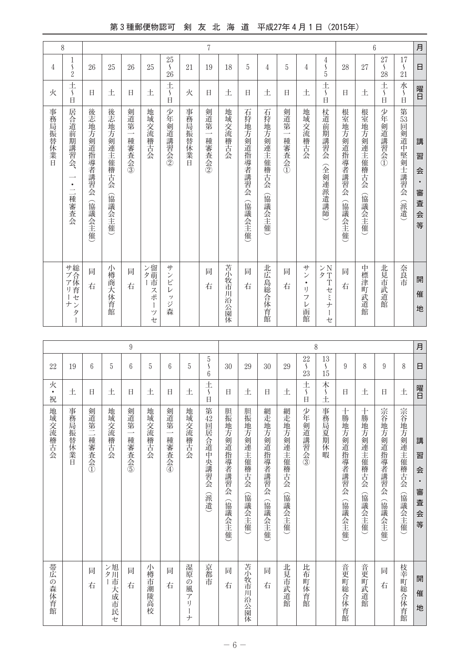## 第3種郵便物認可 剣 友 北 海 道 平成27年4月1日 (2015年)

|          | 8                                                           |                        |                        |                                          |                      |                                                                                                                                                                                                                                                                                                                                                                                                                                                                                                    |          | 7             |           |                         |                        |                                          |                                        |                                                |                        | 6                     |                                            |                       | 月                                            |
|----------|-------------------------------------------------------------|------------------------|------------------------|------------------------------------------|----------------------|----------------------------------------------------------------------------------------------------------------------------------------------------------------------------------------------------------------------------------------------------------------------------------------------------------------------------------------------------------------------------------------------------------------------------------------------------------------------------------------------------|----------|---------------|-----------|-------------------------|------------------------|------------------------------------------|----------------------------------------|------------------------------------------------|------------------------|-----------------------|--------------------------------------------|-----------------------|----------------------------------------------|
| 4        | 1<br>$\frac{5}{2}$                                          | 26                     | 25                     | 26                                       | 25                   | 25<br>$\mathcal{L}_{\mathcal{L}}$<br>26                                                                                                                                                                                                                                                                                                                                                                                                                                                            | 21       | 19            | 18        | 5                       | 4                      | 5                                        | 4                                      | 4<br>$\frac{5}{5}$                             | 28                     | 27                    | 27<br>$\mathcal{S}_{\mathcal{S}}$<br>28    | 17<br>$\frac{5}{21}$  | $\Box$                                       |
| 火        | $\pm$<br>$\mathcal{L}$<br>$\Box$                            | Ħ                      | 土                      | Ħ                                        | 土                    | 土<br>$\mathcal{S}_{\mathcal{S}}$<br>$\Box$                                                                                                                                                                                                                                                                                                                                                                                                                                                         | 火        | Ħ             | 土         | 日                       | 土                      | Ħ                                        | 土                                      | $\pm$<br>$\mathcal{S}_{\mathcal{S}}$<br>$\Box$ | Ħ                      | 土                     | 土<br>$\mathcal{L}_{\mathcal{L}}$<br>$\Box$ | 水<br>$\frac{5}{11}$   | 曜日                                           |
| 事務局振替休業日 | 居合道前期講習会、<br>$\bullet$<br>$\overline{\phantom{0}}$<br>一種審査会 | 後志地方剣道指導者講習会<br>(協議会主催 | 後志地方剣連主催稽古会<br>(協議会主催) | 剣道第<br>$\overline{\phantom{0}}$<br>種審査会③ | 地域交流稽古会              | 少年<br>剣道講習会②                                                                                                                                                                                                                                                                                                                                                                                                                                                                                       | 事務局振替休業日 | 剣道第<br>一種審査会② | 地域交流稽古会   | 石狩地方剣道指導者講習会<br>(協議会主催) | 石狩地方剣連主催稽古会<br>(協議会主催) | 剣道第<br>$\overline{\phantom{a}}$<br>種審査会① | 地域交流稽古会                                | 杖道前期講習会<br>(全剣連派遣講師                            | 根室地方剣道指導者講習会<br>(協議会主催 | 根室地方剣連主催稽古会<br>(協議会主催 | 少年剣道講習会①                                   | 第53回剣道中堅剣士講習会<br>(派遣) | 講<br>習<br>会<br>$\bullet$<br>審<br>査<br>会<br>等 |
|          | サブアリーナ<br>総合体育センタ                                           | 同<br>右                 | 小樽商大体育館                | 同<br>右                                   | ン留萌市<br>スポ<br>ッ<br>セ | $\ensuremath{\mathop{\not\!\!{}}\mathop{\not\!\!{}}\mathop{\not\!\!{}}\mathop{\not\!\!{}}\mathop{\not\!\!{}}\mathop{\not\!\!{}}\mathop{\not\!\!{}}\mathop{\not\!\!{}}\mathop{\not\!\!{}}\mathop{\not\!\!{}}\mathop{\not\!\!{}}\mathop{\not\!\!{}}\mathop{\not\!\!{}}\mathop{\not\!\!{}}\mathop{\not\!\!{}}\mathop{\not\!\!{}}\mathop{\not\!\!{}}\mathop{\not\!\!{}}\mathop{\not\!\!{}}\mathop{\not\!\!{}}\mathop{\not\!\!{}}\mathop{\not\!\$<br>$\mathcal{V}$<br>ビ<br>$\mathcal{V}$<br>ッ<br>ジ<br>森 |          | 同<br>右        | 苫小牧市川沿公園体 | 同<br>右                  | 北広島総合体育館               | 同<br>右                                   | サン<br>$\bullet$<br>ı)<br>フ<br>レ<br>一函館 | ンN<br>タT<br>Tセミナ<br>L<br>セ                     | 同<br>右                 | 中標津:<br>町武道館          | 北見市<br>武道館                                 | 奈良市                   | 開<br>催<br>地                                  |

| 月 | 日                                              | 曜日                                     | 講<br>習<br>会<br>٠<br>審<br>査<br>会<br>等     | 開<br>催<br>地                                  |
|---|------------------------------------------------|----------------------------------------|------------------------------------------|----------------------------------------------|
|   | 8                                              | 土                                      | 宗谷地方剣連主催稽古会<br>(協議会主催                    | 枝幸町総合体育館                                     |
|   | 9                                              | H                                      | 宗谷地方剣道指導者講習会<br>(協議会主催                   | 同<br>右                                       |
|   | 8                                              | 土                                      | 十勝地方剣連主催稽古会<br>(協議会主催                    | 音更町武道館                                       |
|   | 9                                              | Ħ                                      | 十勝地方剣道指導者講習会<br>(協議会主催                   | 音更町総合体育館                                     |
|   | 13<br>$\mathcal{L}_{\mathcal{L}}$<br>15        | 木<br>$\mathcal{S}_{\mathcal{S}}$<br>İ  | 事務局夏期休暇                                  |                                              |
| 8 | $22\,$<br>$\overline{\mathcal{L}}$<br>23       | $\frac{+}{\sqrt{2}}$<br>$\overline{H}$ | 少年剣道講習会③                                 | 比布<br>町体育館                                   |
|   | 29                                             | 土                                      | 網走地方剣連主催稽古会<br>(協議会主催)                   | 北見市武道館                                       |
|   | 30                                             | Ħ                                      | 網走地方剣道指導者講習会<br>(協議会主催                   | 同<br>右                                       |
|   | 29                                             | 土                                      | 胆振地方剣連主催稽古会<br>(協議会主催                    | 苫小牧市川沿公園体                                    |
|   | 30                                             | Ħ                                      | 胆振地方剣道指導者講習会<br>(協議会主催                   | 同<br>右                                       |
|   | $\sqrt{5}$<br>$\mathcal{S}_{\mathcal{S}}$<br>6 | $\frac{+}{\sqrt{2}}$<br>$\Box$         | 第42回居合道中央講習会<br>(派遣)                     | 京都市                                          |
|   | 5                                              | 土                                      | 地域交流稽古会                                  | 湿<br>原<br>$\mathcal{O}$<br>風<br>ア<br>I)<br>ナ |
|   | 6                                              | Ħ                                      | 剣道第<br>$\overline{\phantom{0}}$<br>種審査会④ | 同<br>右                                       |
|   | 5                                              | 土                                      | 地域交流稽古会                                  | 小樽<br>市潮陵高校                                  |
| 9 | 6                                              | Ħ                                      | 剣道第<br>$\overline{\phantom{0}}$<br>種審査会6 | 同<br>右                                       |
|   | 5                                              | 土                                      | 地域交流稽古会                                  | ン旭<br>夕川<br>市大成市民セ                           |
|   | 6                                              | Ħ                                      | 剣道第二種審査会①                                | 同<br>右                                       |
|   | 19                                             | 土                                      | 事務局振替休業<br>Ė                             |                                              |
|   | 22                                             | 火<br>$\bullet$<br>祝                    | 地域交流稽古会                                  | 帯広<br>の森体育館                                  |